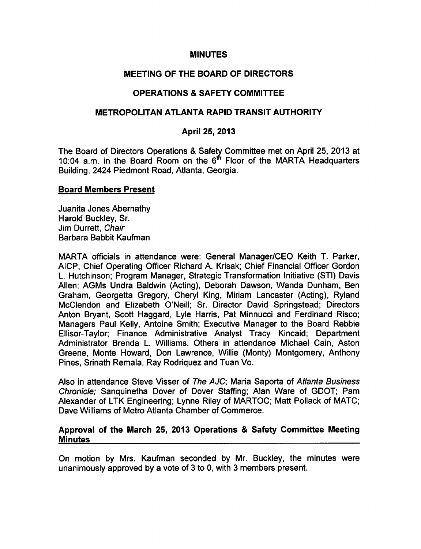### MINUTES

# MEETING OF THE BOARD OF DIRECTORS

# OPERATIONS & SAFETY COMMITTEE

# METROPOLITAN ATLANTA RAPID TRANSIT AUTHORITY

# April 25, 2013

The Board of Directors Operations & Safety Committee met on April 25, 2013 at 10:04 a.m. in the Board Room on the 6<sup>th</sup> Floor of the MARTA Headquarters Building, 2424 Piedmont Road, Atlanta, Georgia.

#### Board Members Present

Juanita Jones Abemathy Harold Buckley, Sr. Jim Durrett, Chair Barbara Babbit Kaufman

MARTA officials in attendance were: General Manager/CEO Keith T. Parker, AICP; Chief Operating Officer Richard A. Krisak; Chief Financial Officer Gordon L. Hutchinson; Program Manager, Strategic Transformation Initiative (STI) Davis Allen; AGMs Undra Baldwin (Acting), Deborah Dawson, Wanda Dunham, Ben Graham, Georgetta Gregory, Cheryl King, Miriam Lancaster (Acting), Ryland McClendon and Elizabeth O'Neill; Sr. Director David Springstead; Directors Anton Bryant, Scott Haggard, Lyle Harris, Pat Minnucci and Ferdinand Risco; Managers Paul Kelly, Antoine Smith; Executive Manager to the Board Rebbie Ellisor-Taylor; Finance Administrative Analyst Tracy Kincaid; Department Administrator Brenda L. Williams. Others in attendance Michael Cain, Aston Greene, Monte Howard, Don Lawrence, Willie (Monty) Montgomery, Anthony Pines, Srinath Remala, Ray Rodriquez and Tuan Vo.

Also in attendance Steve Visser of The AJC; Maria Saporta of Atlanta Business Chronicle; Sanquinetha Dover of Dover Staffing; Alan Ware of GDOT; Pam Alexander of LTK Engineering; Lynne Riley of MARTOC; Matt Pollack of MATC; Dave Williams of Metro Atlanta Chamber of Commerce.

### Approval of the March 25, 2013 Operations & Safety Committee Meeting **Minutes**

On motion by Mrs. Kaufman seconded by Mr. Buckley, the minutes were unanimously approved by a vote of 3 to 0, with 3 members present.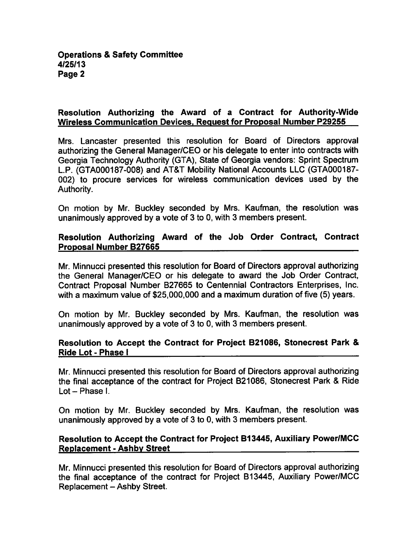## Resolution Authorizing the Award of a Contract for Authority-Wide Wireless Communication Devices. Request for Proposal Number P29255

Mrs. Lancaster presented this resolution for Board of Directors approval authorizing the General Manager/CEO or his delegate to enter into contracts with Georgia Technology Authority (GTA), State of Georgia vendors: Sprint Spectrum LP. (GTA000187-008) and AT&T Mobility National Accounts LLC (GTA000187- 002) to procure services for wireless communication devices used by the Authority.

On motion by Mr. Buckley seconded by Mrs. Kaufman, the resolution was unanimously approved by a vote of 3 to 0, with 3 members present.

# Resolution Authorizing Award of the Job Order Contract, Contract Proposal Number B27665

Mr. Minnucci presented this resolution for Board of Directors approval authorizing the General Manager/CEO or his delegate to award the Job Order Contract, Contract Proposal Number B27665 to Centennial Contractors Enterprises, Inc. with a maximum value of \$25,000,000 and a maximum duration of five (5) years.

On motion by Mr. Buckley seconded by Mrs. Kaufman, the resolution was unanimously approved by a vote of 3 to 0, with 3 members present.

# Resolution to Accept the Contract for Project B21086, Stonecrest Park Ride Lot - Phase I

Mr. Minnucci presented this resolution for Board of Directors approval authorizing the final acceptance of the contract for Project B21086, Stonecrest Park & Ride Lot - Phase I.

On motion by Mr. Buckley seconded by Mrs. Kaufman, the resolution was unanimously approved by a vote of  $3$  to  $0$ , with  $3$  members present.

# Resolution to Accept the Contract for Project B13445, Auxiliary Power/MCC **Replacement - Ashby Street**

Mr. Minnucci presented this resolution for Board of Directors approval authorizing the final acceptance of the contract for Project B13445, Auxiliary Power/MCC Replacement - Ashby Street.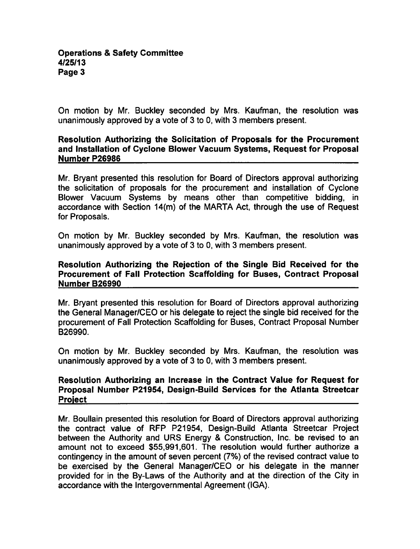On motion by Mr. Buckley seconded by Mrs. Kaufman, the resolution was unanimously approved by a vote of  $3$  to 0, with  $3$  members present.

## Resolution Authorizing the Solicitation of Proposals for the Procurement and Installation of Cyclone Blower Vacuum Systems, Request for Proposal Number P26986

Mr. Bryant presented this resolution for Board of Directors approval authorizing the solicitation of proposals for the procurement and installation of Cyclone Blower Vacuum Systems by means other than competitive bidding, in accordance with Section 14(m) of the MARTA Act, through the use of Request for Proposals.

On motion by Mr. Buckley seconded by Mrs. Kaufman, the resolution was unanimously approved by a vote of  $3$  to 0, with  $3$  members present.

### Resolution Authorizing the Rejection of the Single Bid Received for the Procurement of Fall Protection Scaffolding for Buses, Contract Proposal Number B26990

Mr. Bryant presented this resolution for Board of Directors approval authorizing the General Manager/CEO or his delegate to reject the single bid received for the procurement of Fall Protection Scaffolding for Buses, Contract Proposal Number B26990.

On motion by Mr. Buckley seconded by Mrs. Kaufman, the resolution was unanimously approved by a vote of 3 to 0, with 3 members present.

## Resolution Authorizing an Increase in the Contract Value for Request for Proposal Number P21954, Design-Build Services for the Atlanta Streetcar Project

Mr. Boullain presented this resolution for Board of Directors approval authorizing the contract value of RFP P21954, Design-Build Atlanta Streetcar Project between the Authority and URS Energy & Construction, Inc. be revised to an amount not to exceed \$55,991,601. The resolution would further authorize a contingency in the amount of seven percent (7%) of the revised contract value to be exercised by the General Manager/CEO or his delegate in the manner provided for in the By-Laws of the Authority and at the direction of the City in accordance with the Intergovernmental Agreement (IGA).